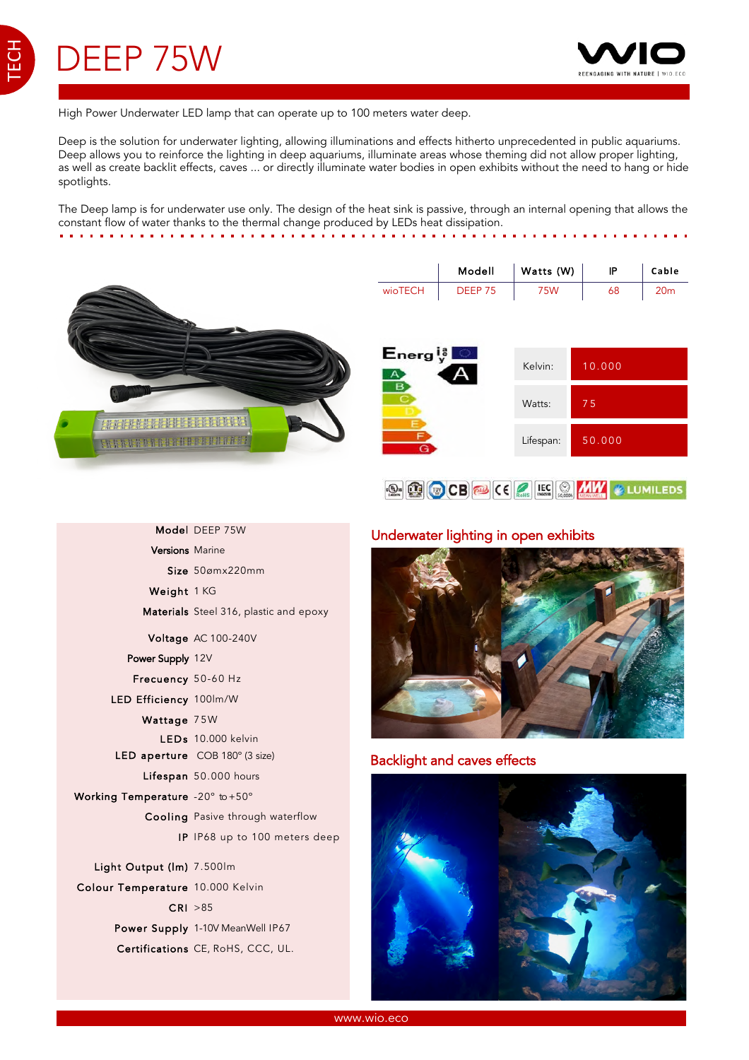TECH



High Power Underwater LED lamp that can operate up to 100 meters water deep.

Deep is the solution for underwater lighting, allowing illuminations and effects hitherto unprecedented in public aquariums. Deep allows you to reinforce the lighting in deep aquariums, illuminate areas whose theming did not allow proper lighting, as well as create backlit effects, caves ... or directly illuminate water bodies in open exhibits without the need to hang or hide spotlights.

The Deep lamp is for underwater use only. The design of the heat sink is passive, through an internal opening that allows the constant flow of water thanks to the thermal change produced by LEDs heat dissipation. . . . . . . . . . . . . . .



|         | Modell             | Watts (W) | IP | Cable |
|---------|--------------------|-----------|----|-------|
| wioTECH | DEEP <sub>75</sub> | 75W       | 68 | 20m   |

| $\mathsf{Energy}_\mathsf{y}^\natural$ | Kelvin:   | 10.000 |
|---------------------------------------|-----------|--------|
|                                       | Watts:    | J 51   |
|                                       | Lifespan: | 50.000 |



## Underwater lighting in open exhibits



## Backlight and caves effects



|                                  | Model DEEP 75W                          |
|----------------------------------|-----------------------------------------|
| <b>Versions</b> Marine           |                                         |
|                                  | $Size$ 50 $\sigma$ mx220mm              |
| Weight 1 KG                      |                                         |
|                                  | Materials Steel 316, plastic and epoxy  |
|                                  | Voltage AC 100-240V                     |
| Power Supply 12V                 |                                         |
| Frecuency 50-60 Hz               |                                         |
| LED Efficiency 100lm/W           |                                         |
| Wattage 75W                      |                                         |
|                                  | LEDs 10.000 kelvin                      |
|                                  | LED aperture COB 180° (3 size)          |
|                                  | Lifespan 50.000 hours                   |
| Working Temperature -20° to +50° |                                         |
|                                  | <b>Cooling</b> Pasive through waterflow |
|                                  | IP IP68 up to 100 meters deep           |
| Light Output (Im) 7.500lm        |                                         |
| Colour Temperature 10.000 Kelvin |                                         |
|                                  | CRI > 85                                |
|                                  | Power Supply 1-10V MeanWell IP67        |
|                                  | Certifications CE, RoHS, CCC, UL.       |